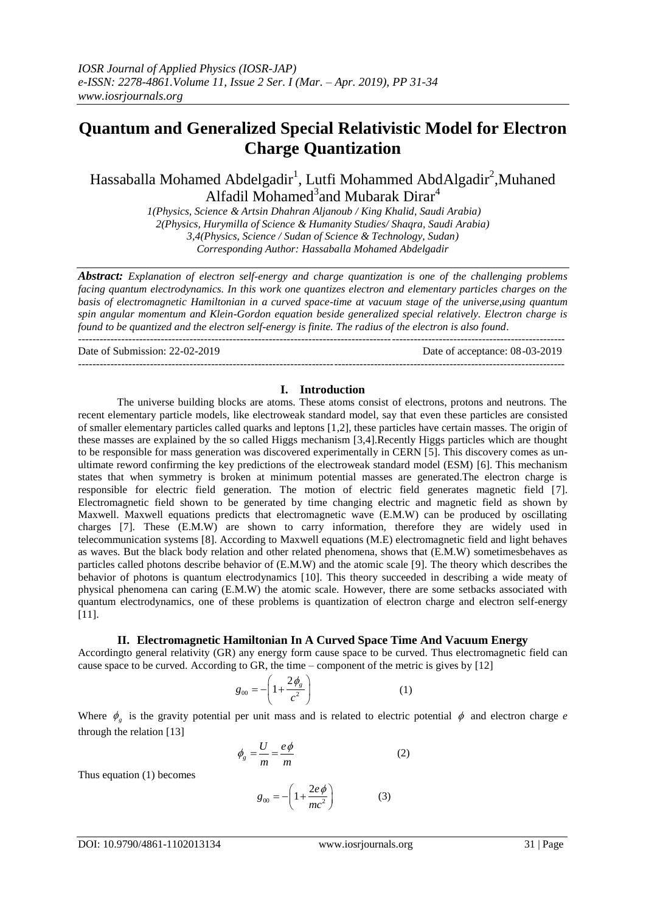# **Quantum and Generalized Special Relativistic Model for Electron Charge Quantization**

Hassaballa Mohamed Abdelgadir<sup>1</sup>, Lutfi Mohammed AbdAlgadir<sup>2</sup>, Muhaned Alfadil Mohamed<sup>3</sup>and Mubarak Dirar<sup>4</sup>

*1(Physics, Science & Artsin Dhahran Aljanoub / King Khalid, Saudi Arabia) 2(Physics, Hurymilla of Science & Humanity Studies/ Shaqra, Saudi Arabia) 3,4(Physics, Science / Sudan of Science & Technology, Sudan) Corresponding Author: Hassaballa Mohamed Abdelgadir* 

*Abstract: Explanation of electron self-energy and charge quantization is one of the challenging problems facing quantum electrodynamics. In this work one quantizes electron and elementary particles charges on the basis of electromagnetic Hamiltonian in a curved space-time at vacuum stage of the universe,using quantum spin angular momentum and Klein-Gordon equation beside generalized special relatively. Electron charge is found to be quantized and the electron self-energy is finite. The radius of the electron is also found.* ---------------------------------------------------------------------------------------------------------------------------------------

Date of Submission: 22-02-2019 Date of acceptance: 08-03-2019

#### **I. Introduction**

---------------------------------------------------------------------------------------------------------------------------------------

The universe building blocks are atoms. These atoms consist of electrons, protons and neutrons. The recent elementary particle models, like electroweak standard model, say that even these particles are consisted of smaller elementary particles called quarks and leptons [1,2], these particles have certain masses. The origin of these masses are explained by the so called Higgs mechanism [3,4].Recently Higgs particles which are thought to be responsible for mass generation was discovered experimentally in CERN [5]. This discovery comes as unultimate reword confirming the key predictions of the electroweak standard model (ESM) [6]. This mechanism states that when symmetry is broken at minimum potential masses are generated.The electron charge is responsible for electric field generation. The motion of electric field generates magnetic field [7]. Electromagnetic field shown to be generated by time changing electric and magnetic field as shown by Maxwell. Maxwell equations predicts that electromagnetic wave (E.M.W) can be produced by oscillating charges [7]. These (E.M.W) are shown to carry information, therefore they are widely used in telecommunication systems [8]. According to Maxwell equations (M.E) electromagnetic field and light behaves as waves. But the black body relation and other related phenomena, shows that (E.M.W) sometimesbehaves as particles called photons describe behavior of (E.M.W) and the atomic scale [9]. The theory which describes the behavior of photons is quantum electrodynamics [10]. This theory succeeded in describing a wide meaty of physical phenomena can caring (E.M.W) the atomic scale. However, there are some setbacks associated with quantum electrodynamics, one of these problems is quantization of electron charge and electron self-energy [11].

## **II. Electromagnetic Hamiltonian In A Curved Space Time And Vacuum Energy**

Accordingto general relativity (GR) any energy form cause space to be curved. Thus electromagnetic field can cause space to be curved. According to GR, the time – component of the metric is gives by  $[12]$ 

$$
g_{00} = -\left(1 + \frac{2\phi_{g}}{c^2}\right) \tag{1}
$$

Where  $\phi_{g}$  is the gravity potential per unit mass and is related to electric potential  $\phi$  and electron charge *e* through the relation [13]

$$
\phi_g = \frac{U}{m} = \frac{e\phi}{m} \tag{2}
$$

Thus equation (1) becomes

$$
g_{00} = -\left(1 + \frac{2e\phi}{mc^2}\right) \tag{3}
$$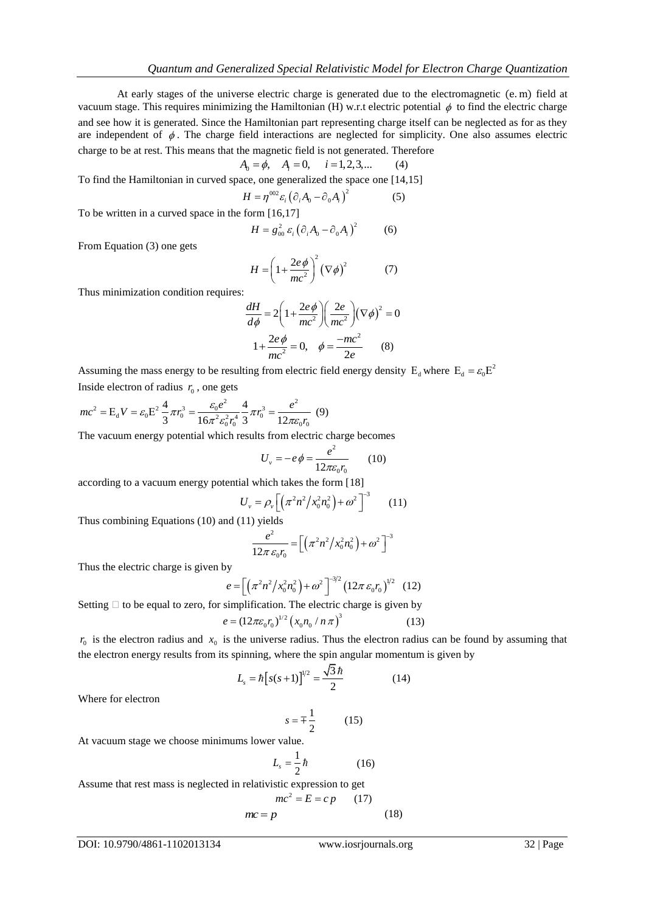At early stages of the universe electric charge is generated due to the electromagnetic (e. m) field at vacuum stage. This requires minimizing the Hamiltonian (H) w.r.t electric potential  $\phi$  to find the electric charge and see how it is generated. Since the Hamiltonian part representing charge itself can be neglected as for as they are independent of  $\phi$ . The charge field interactions are neglected for simplicity. One also assumes electric charge to be at rest. This means that the magnetic field is not generated. Therefore  $A_0 = \phi$ ,  $A_i = 0$ ,  $i = 1, 2, 3, ...$  *(4)* 

$$
A_0 = \phi, \quad A_i = 0, \quad i = 1, 2, 3, \dots \tag{4}
$$

To find the Hamiltonian in curved space, one generalized the space one [14,15]

$$
H = \eta^{002} \varepsilon_i \left( \partial_i A_0 - \partial_0 A_i \right)^2 \tag{5}
$$

To be written in a curved space in the form [16,17]

$$
H = g_{00}^2 \varepsilon_i (\partial_i A_0 - \partial_0 A_i)^2 \tag{6}
$$

From Equation (3) one gets

$$
H = \left(1 + \frac{2e\phi}{mc^2}\right)^2 (\nabla \phi)^2 \tag{7}
$$

Thus minimization condition requires:

$$
\frac{dH}{d\phi} = 2\left(1 + \frac{2e\phi}{mc^2}\right)\left(\frac{2e}{mc^2}\right)\left(\nabla\phi\right)^2 = 0
$$

$$
1 + \frac{2e\phi}{mc^2} = 0, \quad \phi = \frac{-mc^2}{2e} \qquad (8)
$$

Assuming the mass energy to be resulting from electric field energy density  $E_d$  where  $E_d = \varepsilon_0 E^2$ 

Inside electron of radius 
$$
r_0
$$
, one gets  
\n
$$
mc^2 = E_d V = \varepsilon_0 E^2 \frac{4}{3} \pi r_0^3 = \frac{\varepsilon_0 e^2}{16\pi^2 \varepsilon_0^2 r_0^4} \frac{4}{3} \pi r_0^3 = \frac{e^2}{12\pi \varepsilon_0 r_0}
$$
(9)

The vacuum energy potential which results from electric charge becomes

$$
U_{v} = -e\phi = \frac{e^2}{12\pi\varepsilon_0 r_0} \qquad (10)
$$

according to a vacuum energy potential which takes the form [18]

$$
U_{v} = \rho_{v} \left[ \left( \pi^{2} n^{2} / x_{0}^{2} n_{0}^{2} \right) + \omega^{2} \right]^{-3} \qquad (11)
$$

Thus combining Equations (10) and (11) yields

$$
\frac{e^2}{12\pi \varepsilon_0 r_0} = \left[ \left( \frac{\pi^2 n^2}{x_0^2 n_0^2} + \omega^2 \right)^{-3} \right]
$$

Thus the electric charge is given by

$$
e = \left[ \left( \pi^2 n^2 / x_0^2 n_0^2 \right) + \omega^2 \right]^{-3/2} \left( 12 \pi \, \varepsilon_0 r_0 \right)^{1/2} \tag{12}
$$

Setting  $\Box$  to be equal to zero, for simplification. The electric charge is given by  $^{1/2}$  (x n / n  $^{-1}$ )<sup>3</sup>

$$
e = (12\pi\varepsilon_0 r_0)^{1/2} \left( x_0 n_0 / n\pi \right)^3 \tag{13}
$$

 $r_0$  is the electron radius and  $x_0$  is the universe radius. Thus the electron radius can be found by assuming that the electron energy results from its spinning, where the spin angular momentum is given by

$$
L_s = \hbar \left[ s(s+1) \right]^{1/2} = \frac{\sqrt{3} \,\hbar}{2} \tag{14}
$$

Where for electron

$$
s = \pm \frac{1}{2} \tag{15}
$$

At vacuum stage we choose minimums lower value.

$$
L_s = \frac{1}{2}\hbar \tag{16}
$$

Assume that rest mass is neglected in relativistic expression to get

$$
mc2 = E = cp \qquad (17)
$$

$$
mc = p \qquad (18)
$$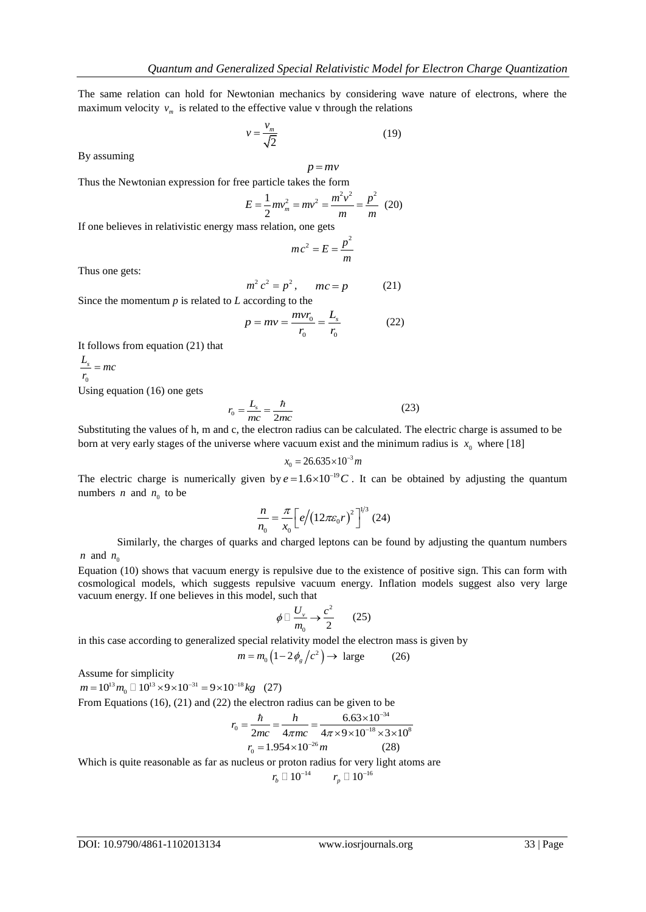The same relation can hold for Newtonian mechanics by considering wave nature of electrons, where the maximum velocity  $v_m$  is related to the effective value v through the relations

$$
v = \frac{v_m}{\sqrt{2}}\tag{19}
$$

 $p = mv$ 

By assuming

Thus the Newtonian expression for free particle takes the form

$$
E = \frac{1}{2}mv_m^2 = mv^2 = \frac{m^2v^2}{m} = \frac{p^2}{m}
$$
 (20)

If one believes in relativistic energy mass relation, one gets

$$
mc^2 = E = \frac{p^2}{m}
$$

Thus one gets:

$$
m^2 c^2 = p^2, \qquad mc = p \tag{21}
$$

Since the momentum *p* is related to *L* according to the

$$
p = mv = \frac{mvr_0}{r_0} = \frac{L_s}{r_0}
$$
 (22)

It follows from equation (21) that

0 *r*  $L$ <sub>s</sub> = mc

Using equation (16) one gets

$$
r_0 = \frac{L_s}{mc} = \frac{\hbar}{2mc} \tag{23}
$$

Substituting the values of h, m and c, the electron radius can be calculated. The electric charge is assumed to be born at very early stages of the universe where vacuum exist and the minimum radius is  $x_0$  where [18]

$$
x_0 = 26.635 \times 10^{-3} m
$$

The electric charge is numerically given by  $e = 1.6 \times 10^{-19} C$ . It can be obtained by adjusting the quantum numbers *n* and  $n_0$  to be

$$
\frac{n}{n_0} = \frac{\pi}{x_0} \left[ e / \left( 12 \pi \varepsilon_0 r \right)^2 \right]^{1/3} (24)
$$

Similarly, the charges of quarks and charged leptons can be found by adjusting the quantum numbers  $n \text{ and } n_0$ 

Equation (10) shows that vacuum energy is repulsive due to the existence of positive sign. This can form with cosmological models, which suggests repulsive vacuum energy. Inflation models suggest also very large vacuum energy. If one believes in this model, such that

$$
\phi \Box \frac{U_{\nu}}{m_0} \rightarrow \frac{c^2}{2} \qquad (25)
$$

in this case according to generalized special relativity model the electron mass is given by

$$
m = m_0 \left( 1 - 2\phi_g / c^2 \right) \to \text{ large} \tag{26}
$$

Assume for simplicity  
\n
$$
m = 10^{13} m_0 \Box 10^{13} \times 9 \times 10^{-31} = 9 \times 10^{-18} kg
$$
 (27)

From Equations (16), (21) and (22) the electron radius can be given to be<br>  $r_0 = \frac{\hbar}{2mg} = \frac{h}{4\pi mg} = \frac{6.63 \times 10^{-34}}{4\pi (10 \times 10^{-18} \times 2)}$ 

$$
r_0 = \frac{\hbar}{2mc} = \frac{h}{4\pi mc} = \frac{6.63 \times 10^{-34}}{4\pi \times 9 \times 10^{-18} \times 3 \times 10^8}
$$

$$
r_0 = 1.954 \times 10^{-26} m \tag{28}
$$

Which is quite reasonable as far as nucleus or proton radius for very light atoms are

 $r_{b} \Box 10^{-14}$   $r_{p} \Box 10^{-16}$